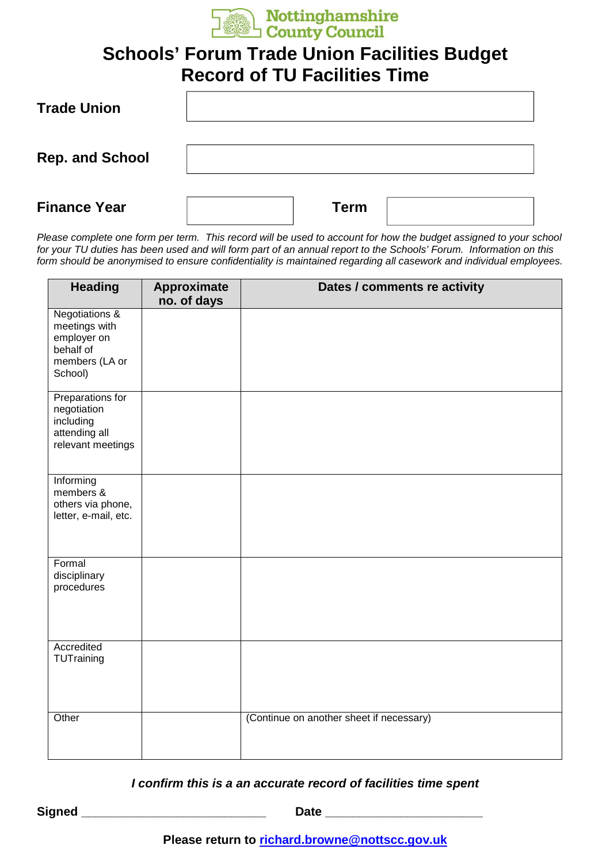

## **Schools' Forum Trade Union Facilities Budget Record of TU Facilities Time**

| <b>Trade Union</b>     |      |
|------------------------|------|
| <b>Rep. and School</b> |      |
| <b>Finance Year</b>    | Term |

Please complete one form per term. This record will be used to account for how the budget assigned to your school for your TU duties has been used and will form part of an annual report to the Schools' Forum. Information on this form should be anonymised to ensure confidentiality is maintained regarding all casework and individual employees.

| <b>Heading</b>                                                                                      | Approximate<br>no. of days | Dates / comments re activity             |
|-----------------------------------------------------------------------------------------------------|----------------------------|------------------------------------------|
| <b>Negotiations &amp;</b><br>meetings with<br>employer on<br>behalf of<br>members (LA or<br>School) |                            |                                          |
| Preparations for<br>negotiation<br>including<br>attending all<br>relevant meetings                  |                            |                                          |
| Informing<br>members &<br>others via phone,<br>letter, e-mail, etc.                                 |                            |                                          |
| Formal<br>disciplinary<br>procedures                                                                |                            |                                          |
| Accredited<br>TUTraining                                                                            |                            |                                          |
| Other                                                                                               |                            | (Continue on another sheet if necessary) |

## **I confirm this is a an accurate record of facilities time spent**